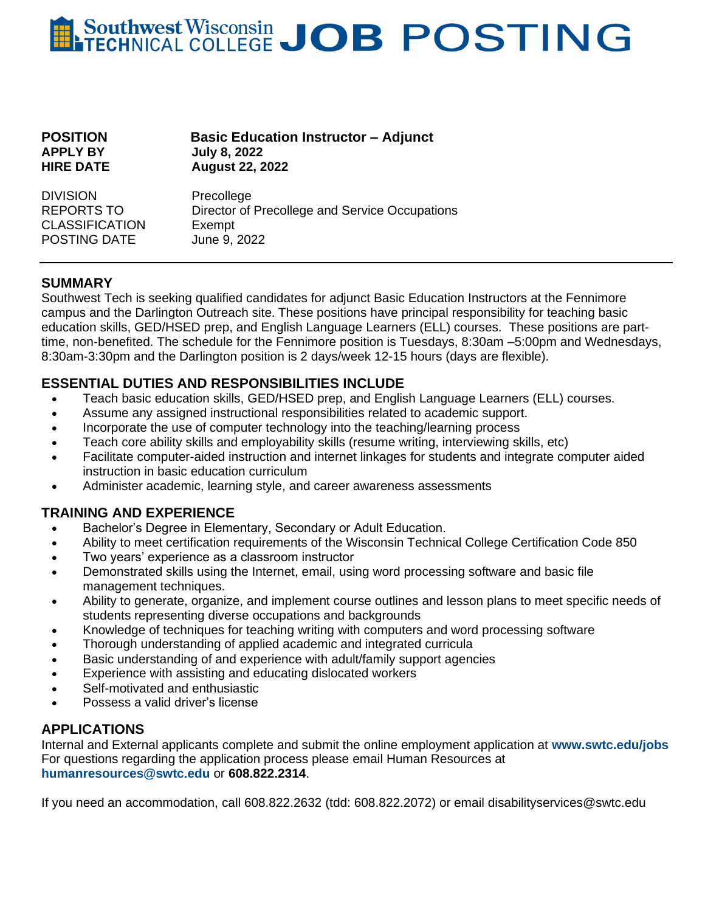# **Southwest Wisconsin JOB POSTING**

| <b>POSITION</b>  |  |
|------------------|--|
| <b>APPLY BY</b>  |  |
| <b>HIRE DATE</b> |  |
|                  |  |

**Basic Education Instructor – Adjunct APPLY BY July 8, 2022 HIRE DATE August 22, 2022**

DIVISION Precollege REPORTS TO Director of Precollege and Service Occupations CLASSIFICATION Exempt POSTING DATE June 9, 2022

#### **SUMMARY**

Southwest Tech is seeking qualified candidates for adjunct Basic Education Instructors at the Fennimore campus and the Darlington Outreach site. These positions have principal responsibility for teaching basic education skills, GED/HSED prep, and English Language Learners (ELL) courses. These positions are parttime, non-benefited. The schedule for the Fennimore position is Tuesdays, 8:30am –5:00pm and Wednesdays, 8:30am-3:30pm and the Darlington position is 2 days/week 12-15 hours (days are flexible).

## **ESSENTIAL DUTIES AND RESPONSIBILITIES INCLUDE**

- Teach basic education skills, GED/HSED prep, and English Language Learners (ELL) courses.
- Assume any assigned instructional responsibilities related to academic support.
- Incorporate the use of computer technology into the teaching/learning process
- Teach core ability skills and employability skills (resume writing, interviewing skills, etc)
- Facilitate computer-aided instruction and internet linkages for students and integrate computer aided instruction in basic education curriculum
- Administer academic, learning style, and career awareness assessments

## **TRAINING AND EXPERIENCE**

- Bachelor's Degree in Elementary, Secondary or Adult Education.
- Ability to meet certification requirements of the Wisconsin Technical College Certification Code 850
- Two years' experience as a classroom instructor
- Demonstrated skills using the Internet, email, using word processing software and basic file management techniques.
- Ability to generate, organize, and implement course outlines and lesson plans to meet specific needs of students representing diverse occupations and backgrounds
- Knowledge of techniques for teaching writing with computers and word processing software
- Thorough understanding of applied academic and integrated curricula
- Basic understanding of and experience with adult/family support agencies
- Experience with assisting and educating dislocated workers
- Self-motivated and enthusiastic
- Possess a valid driver's license

## **APPLICATIONS**

Internal and External applicants complete and submit the online employment application at **www.swtc.edu/jobs** For questions regarding the application process please email Human Resources at **[humanresources@swtc.edu](mailto:humanresources@swtc.edu)** or **608.822.2314**.

If you need an accommodation, call 608.822.2632 (tdd: 608.822.2072) or email disabilityservices@swtc.edu